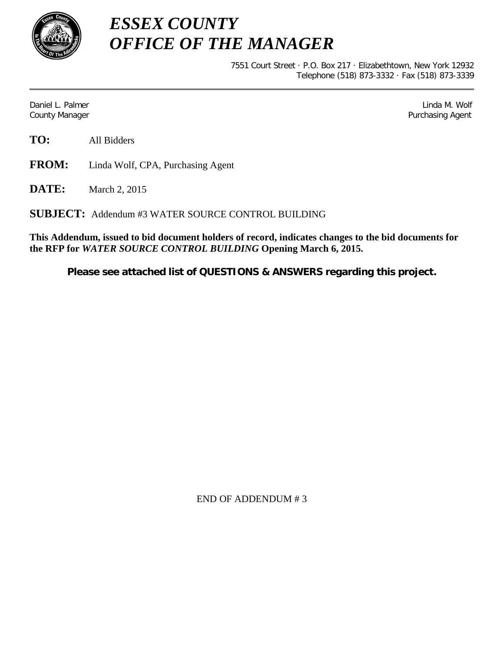

*ESSEX COUNTY OFFICE OF THE MANAGER*

> 7551 Court Street · P.O. Box 217 · Elizabethtown, New York 12932 Telephone (518) 873-3332 · Fax (518) 873-3339

Daniel L. Palmer Later and the control of the control of the control of the control of the control of the control of the control of the control of the control of the control of the control of the control of the control of County Manager **Purchasing Agent** County Manager **Purchasing Agent** County Manager

**TO:** All Bidders

**FROM:** Linda Wolf, CPA, Purchasing Agent

**DATE:** March 2, 2015

**SUBJECT:** Addendum #3 WATER SOURCE CONTROL BUILDING

**This Addendum, issued to bid document holders of record, indicates changes to the bid documents for the RFP for** *WATER SOURCE CONTROL BUILDING* **Opening March 6, 2015.**

**Please see attached list of QUESTIONS & ANSWERS regarding this project.**

END OF ADDENDUM # 3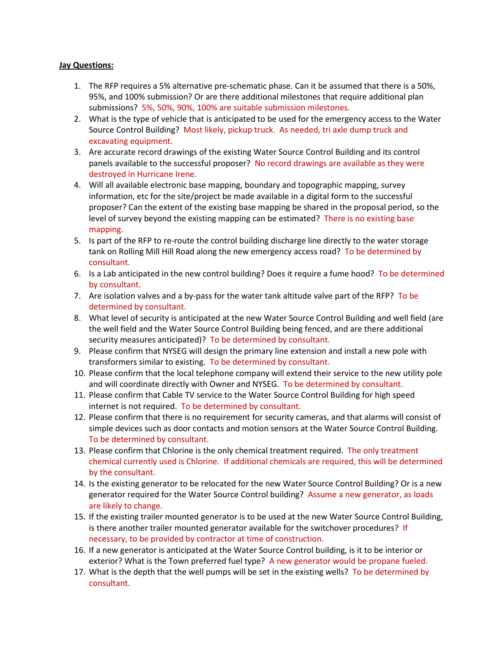## **Jay Questions:**

- 1. The RFP requires a 5% alternative pre-schematic phase. Can it be assumed that there is a 50%, 95%, and 100% submission? Or are there additional milestones that require additional plan submissions? 5%, 50%, 90%, 100% are suitable submission milestones.
- 2. What is the type of vehicle that is anticipated to be used for the emergency access to the Water Source Control Building? Most likely, pickup truck. As needed, tri axle dump truck and excavating equipment.
- 3. Are accurate record drawings of the existing Water Source Control Building and its control panels available to the successful proposer? No record drawings are available as they were destroyed in Hurricane Irene.
- 4. Will all available electronic base mapping, boundary and topographic mapping, survey information, etc for the site/project be made available in a digital form to the successful proposer? Can the extent of the existing base mapping be shared in the proposal period, so the level of survey beyond the existing mapping can be estimated? There is no existing base mapping.
- 5. Is part of the RFP to re-route the control building discharge line directly to the water storage tank on Rolling Mill Hill Road along the new emergency access road? To be determined by consultant.
- 6. Is a Lab anticipated in the new control building? Does it require a fume hood? To be determined by consultant.
- 7. Are isolation valves and a by-pass for the water tank altitude valve part of the RFP? To be determined by consultant.
- 8. What level of security is anticipated at the new Water Source Control Building and well field (are the well field and the Water Source Control Building being fenced, and are there additional security measures anticipated)? To be determined by consultant.
- 9. Please confirm that NYSEG will design the primary line extension and install a new pole with transformers similar to existing. To be determined by consultant.
- 10. Please confirm that the local telephone company will extend their service to the new utility pole and will coordinate directly with Owner and NYSEG. To be determined by consultant.
- 11. Please confirm that Cable TV service to the Water Source Control Building for high speed internet is not required. To be determined by consultant.
- 12. Please confirm that there is no requirement for security cameras, and that alarms will consist of simple devices such as door contacts and motion sensors at the Water Source Control Building. To be determined by consultant.
- 13. Please confirm that Chlorine is the only chemical treatment required. The only treatment chemical currently used is Chlorine. If additional chemicals are required, this will be determined by the consultant.
- 14. Is the existing generator to be relocated for the new Water Source Control Building? Or is a new generator required for the Water Source Control building? Assume a new generator, as loads are likely to change.
- 15. If the existing trailer mounted generator is to be used at the new Water Source Control Building, is there another trailer mounted generator available for the switchover procedures? If necessary, to be provided by contractor at time of construction.
- 16. If a new generator is anticipated at the Water Source Control building, is it to be interior or exterior? What is the Town preferred fuel type? A new generator would be propane fueled.
- 17. What is the depth that the well pumps will be set in the existing wells? To be determined by consultant.